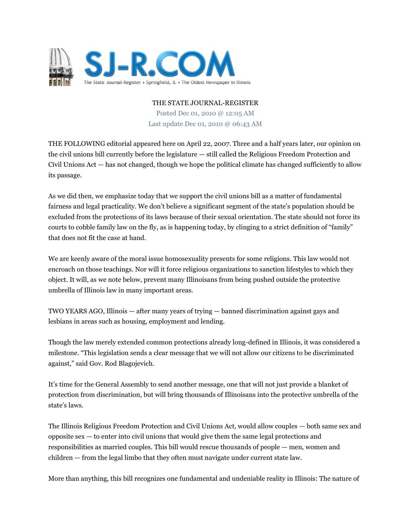

THE STATE JOURNAL-REGISTER

Posted Dec 01, 2010 @ 12:05 AM Last update Dec 01, 2010 @ 06:43 AM

THE FOLLOWING editorial appeared here on April 22, 2007. Three and a half years later, our opinion on the civil unions bill currently before the legislature — still called the Religious Freedom Protection and Civil Unions Act — has not changed, though we hope the political climate has changed sufficiently to allow its passage.

As we did then, we emphasize today that we support the civil unions bill as a matter of fundamental fairness and legal practicality. We don't believe a significant segment of the state's population should be excluded from the protections of its laws because of their sexual orientation. The state should not force its courts to cobble family law on the fly, as is happening today, by clinging to a strict definition of "family" that does not fit the case at hand.

We are keenly aware of the moral issue homosexuality presents for some religions. This law would not encroach on those teachings. Nor will it force religious organizations to sanction lifestyles to which they object. It will, as we note below, prevent many Illinoisans from being pushed outside the protective umbrella of Illinois law in many important areas.

TWO YEARS AGO, Illinois — after many years of trying — banned discrimination against gays and lesbians in areas such as housing, employment and lending.

Though the law merely extended common protections already long-defined in Illinois, it was considered a milestone. "This legislation sends a clear message that we will not allow our citizens to be discriminated against," said Gov. Rod Blagojevich.

It's time for the General Assembly to send another message, one that will not just provide a blanket of protection from discrimination, but will bring thousands of Illinoisans into the protective umbrella of the state's laws.

The Illinois Religious Freedom Protection and Civil Unions Act, would allow couples — both same sex and opposite sex — to enter into civil unions that would give them the same legal protections and responsibilities as married couples. This bill would rescue thousands of people — men, women and children — from the legal limbo that they often must navigate under current state law.

More than anything, this bill recognizes one fundamental and undeniable reality in Illinois: The nature of